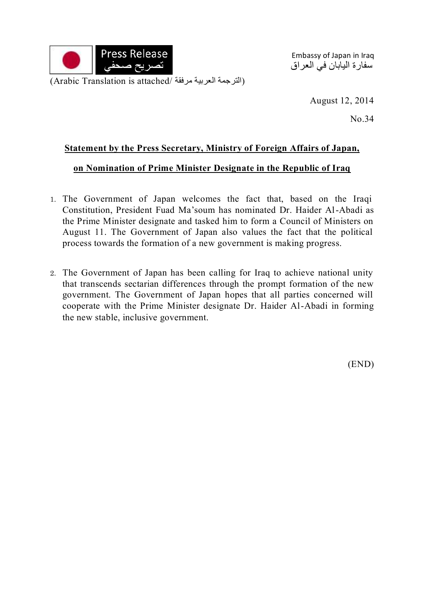

Embassy of Japan in Iraq سفارة اليابان في العراق

(Arabic Translation is attached/ الترجمة العربية مرفقة)

August 12, 2014

No.34

## **Statement by the Press Secretary, Ministry of Foreign Affairs of Japan,**

## **on Nomination of Prime Minister Designate in the Republic of Iraq**

- 1. The Government of Japan welcomes the fact that, based on the Iraqi Constitution, President Fuad Ma'soum has nominated Dr. Haider Al-Abadi as the Prime Minister designate and tasked him to form a Council of Ministers on August 11. The Government of Japan also values the fact that the political process towards the formation of a new government is making progress.
- 2. The Government of Japan has been calling for Iraq to achieve national unity that transcends sectarian differences through the prompt formation of the new government. The Government of Japan hopes that all parties concerned will cooperate with the Prime Minister designate Dr. Haider Al-Abadi in forming the new stable, inclusive government.

(END)